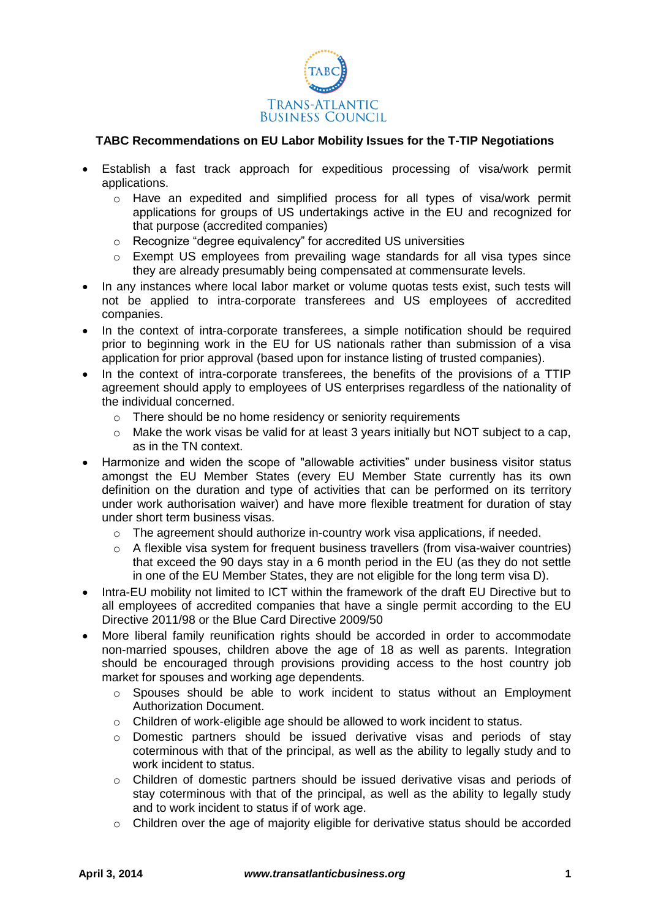

## **TABC Recommendations on EU Labor Mobility Issues for the T-TIP Negotiations**

- Establish a fast track approach for expeditious processing of visa/work permit applications.
	- o Have an expedited and simplified process for all types of visa/work permit applications for groups of US undertakings active in the EU and recognized for that purpose (accredited companies)
	- o Recognize "degree equivalency" for accredited US universities
	- o Exempt US employees from prevailing wage standards for all visa types since they are already presumably being compensated at commensurate levels.
- In any instances where local labor market or volume quotas tests exist, such tests will not be applied to intra-corporate transferees and US employees of accredited companies.
- In the context of intra-corporate transferees, a simple notification should be required prior to beginning work in the EU for US nationals rather than submission of a visa application for prior approval (based upon for instance listing of trusted companies).
- In the context of intra-corporate transferees, the benefits of the provisions of a TTIP agreement should apply to employees of US enterprises regardless of the nationality of the individual concerned.
	- o There should be no home residency or seniority requirements
	- $\circ$  Make the work visas be valid for at least 3 years initially but NOT subject to a cap, as in the TN context.
- Harmonize and widen the scope of "allowable activities" under business visitor status amongst the EU Member States (every EU Member State currently has its own definition on the duration and type of activities that can be performed on its territory under work authorisation waiver) and have more flexible treatment for duration of stay under short term business visas.
	- $\circ$  The agreement should authorize in-country work visa applications, if needed.
	- $\circ$  A flexible visa system for frequent business travellers (from visa-waiver countries) that exceed the 90 days stay in a 6 month period in the EU (as they do not settle in one of the EU Member States, they are not eligible for the long term visa D).
- Intra-EU mobility not limited to ICT within the framework of the draft EU Directive but to all employees of accredited companies that have a single permit according to the EU Directive 2011/98 or the Blue Card Directive 2009/50
- More liberal family reunification rights should be accorded in order to accommodate non-married spouses, children above the age of 18 as well as parents. Integration should be encouraged through provisions providing access to the host country job market for spouses and working age dependents.
	- $\circ$  Spouses should be able to work incident to status without an Employment Authorization Document.
	- o Children of work-eligible age should be allowed to work incident to status.
	- o Domestic partners should be issued derivative visas and periods of stay coterminous with that of the principal, as well as the ability to legally study and to work incident to status.
	- o Children of domestic partners should be issued derivative visas and periods of stay coterminous with that of the principal, as well as the ability to legally study and to work incident to status if of work age.
	- $\circ$  Children over the age of majority eligible for derivative status should be accorded